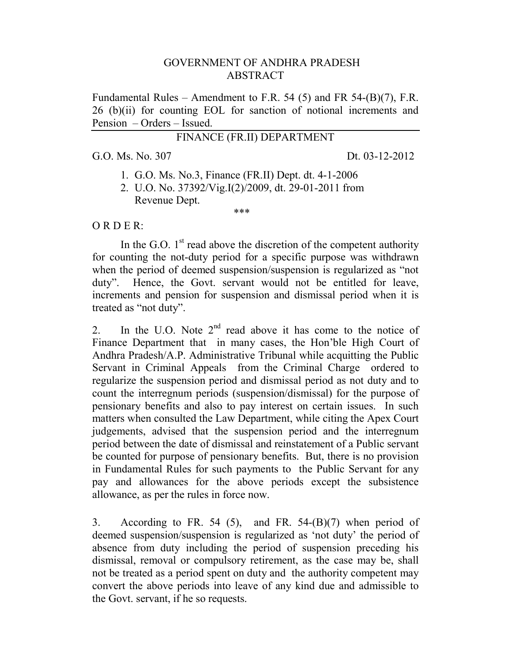#### GOVERNMENT OF ANDHRA PRADESH ABSTRACT

Fundamental Rules – Amendment to F.R. 54 (5) and FR 54-(B)(7), F.R. 26 (b)(ii) for counting EOL for sanction of notional increments and Pension – Orders – Issued.

# FINANCE (FR.II) DEPARTMENT

G.O. Ms. No. 307 Dt. 03-12-2012

- 1. G.O. Ms. No.3, Finance (FR.II) Dept. dt. 4-1-2006
- 2. U.O. No. 37392/Vig.I(2)/2009, dt. 29-01-2011 from Revenue Dept. \*\*\*

O R D E R:

In the G.O.  $1<sup>st</sup>$  read above the discretion of the competent authority for counting the not-duty period for a specific purpose was withdrawn when the period of deemed suspension/suspension is regularized as "not duty". Hence, the Govt. servant would not be entitled for leave, increments and pension for suspension and dismissal period when it is treated as "not duty".

2. In the U.O. Note  $2<sup>nd</sup>$  read above it has come to the notice of Finance Department that in many cases, the Hon'ble High Court of Andhra Pradesh/A.P. Administrative Tribunal while acquitting the Public Servant in Criminal Appeals from the Criminal Charge ordered to regularize the suspension period and dismissal period as not duty and to count the interregnum periods (suspension/dismissal) for the purpose of pensionary benefits and also to pay interest on certain issues. In such matters when consulted the Law Department, while citing the Apex Court judgements, advised that the suspension period and the interregnum period between the date of dismissal and reinstatement of a Public servant be counted for purpose of pensionary benefits. But, there is no provision in Fundamental Rules for such payments to the Public Servant for any pay and allowances for the above periods except the subsistence allowance, as per the rules in force now.

3. According to FR. 54 (5), and FR. 54- $(B)(7)$  when period of deemed suspension/suspension is regularized as 'not duty' the period of absence from duty including the period of suspension preceding his dismissal, removal or compulsory retirement, as the case may be, shall not be treated as a period spent on duty and the authority competent may convert the above periods into leave of any kind due and admissible to the Govt. servant, if he so requests.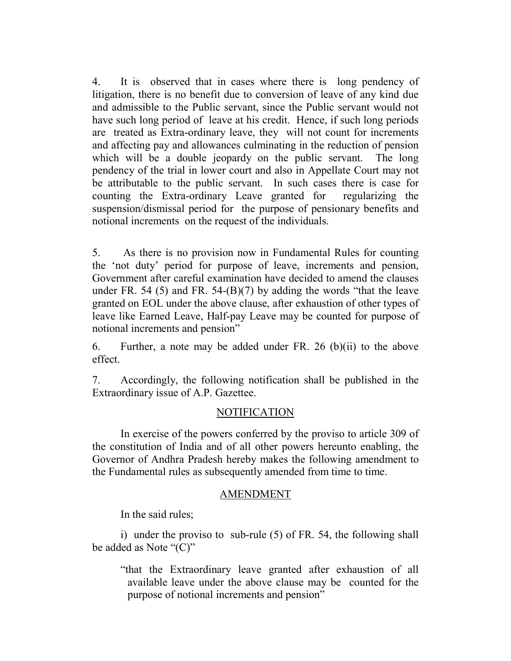4. It is observed that in cases where there is long pendency of litigation, there is no benefit due to conversion of leave of any kind due and admissible to the Public servant, since the Public servant would not have such long period of leave at his credit. Hence, if such long periods are treated as Extra-ordinary leave, they will not count for increments and affecting pay and allowances culminating in the reduction of pension which will be a double jeopardy on the public servant. The long pendency of the trial in lower court and also in Appellate Court may not be attributable to the public servant. In such cases there is case for counting the Extra-ordinary Leave granted for regularizing the suspension/dismissal period for the purpose of pensionary benefits and notional increments on the request of the individuals.

5. As there is no provision now in Fundamental Rules for counting the 'not duty' period for purpose of leave, increments and pension, Government after careful examination have decided to amend the clauses under FR. 54 (5) and FR. 54- $(B)(7)$  by adding the words "that the leave granted on EOL under the above clause, after exhaustion of other types of leave like Earned Leave, Half-pay Leave may be counted for purpose of notional increments and pension"

6. Further, a note may be added under FR. 26 (b)(ii) to the above effect.

7. Accordingly, the following notification shall be published in the Extraordinary issue of A.P. Gazettee.

# **NOTIFICATION**

 In exercise of the powers conferred by the proviso to article 309 of the constitution of India and of all other powers hereunto enabling, the Governor of Andhra Pradesh hereby makes the following amendment to the Fundamental rules as subsequently amended from time to time.

# AMENDMENT

In the said rules;

 i) under the proviso to sub-rule (5) of FR. 54, the following shall be added as Note " $(C)$ "

"that the Extraordinary leave granted after exhaustion of all available leave under the above clause may be counted for the purpose of notional increments and pension"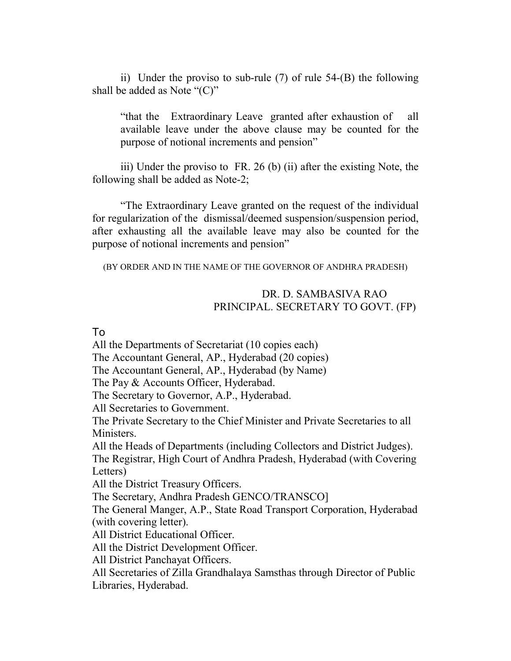ii) Under the proviso to sub-rule (7) of rule 54-(B) the following shall be added as Note " $(C)$ "

"that the Extraordinary Leave granted after exhaustion of all available leave under the above clause may be counted for the purpose of notional increments and pension"

iii) Under the proviso to FR. 26 (b) (ii) after the existing Note, the following shall be added as Note-2;

"The Extraordinary Leave granted on the request of the individual for regularization of the dismissal/deemed suspension/suspension period, after exhausting all the available leave may also be counted for the purpose of notional increments and pension"

(BY ORDER AND IN THE NAME OF THE GOVERNOR OF ANDHRA PRADESH)

# DR. D. SAMBASIVA RAO PRINCIPAL. SECRETARY TO GOVT. (FP)

#### To

All the Departments of Secretariat (10 copies each)

The Accountant General, AP., Hyderabad (20 copies)

The Accountant General, AP., Hyderabad (by Name)

The Pay & Accounts Officer, Hyderabad.

The Secretary to Governor, A.P., Hyderabad.

All Secretaries to Government.

The Private Secretary to the Chief Minister and Private Secretaries to all Ministers.

All the Heads of Departments (including Collectors and District Judges).

The Registrar, High Court of Andhra Pradesh, Hyderabad (with Covering Letters)

All the District Treasury Officers.

The Secretary, Andhra Pradesh GENCO/TRANSCO]

The General Manger, A.P., State Road Transport Corporation, Hyderabad (with covering letter).

All District Educational Officer.

All the District Development Officer.

All District Panchayat Officers.

All Secretaries of Zilla Grandhalaya Samsthas through Director of Public Libraries, Hyderabad.